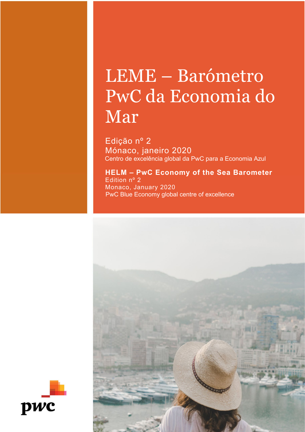# LEME – Barómetro PwC da Economia do Mar

Edição nº 2<br>Mónaco, janeiro 2020 Centro de excelência global da PwC para a Economia Azul

### **HELM – PwC Economy of the Sea Barometer**  Edition nº 2 Monaco, January 2020 PwC Blue Economy global centre of excellence



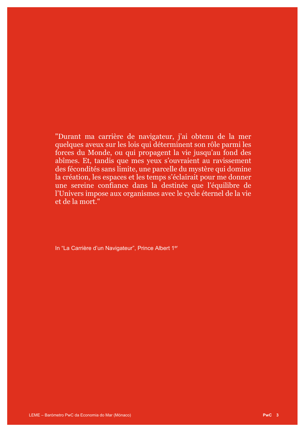"Durant ma carrière de navigateur, j'ai obtenu de la mer quelques aveux sur les lois qui déterminent son rôle parmi les forces du Monde, ou qui propagent la vie jusqu'au fond des abîmes. Et, tandis que mes yeux s'ouvraient au ravissement des fécondités sans limite, une parcelle du mystère qui domine la création, les espaces et les temps s'éclairait pour me donner une sereine confiance dans la destinée que l'équilibre de l'Univers impose aux organismes avec le cycle éternel de la vie et de la mort."

In "La Carrière d'un Navigateur", Prince Albert 1<sup>er</sup>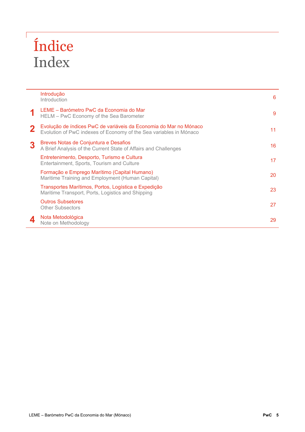# Índice Index

 $\sqrt{2}$ 

| Introdução<br>Introduction                                                                                                              |    |
|-----------------------------------------------------------------------------------------------------------------------------------------|----|
| LEME - Barómetro PwC da Economia do Mar<br>HELM - PwC Economy of the Sea Barometer                                                      |    |
| Evolução de índices PwC de variáveis da Economia do Mar no Mónaco<br>Evolution of PwC indexes of Economy of the Sea variables in Mónaco |    |
| Breves Notas de Conjuntura e Desafios<br>A Brief Analysis of the Current State of Affairs and Challenges                                | 16 |
| Entretenimento, Desporto, Turismo e Cultura<br>Entertainment, Sports, Tourism and Culture                                               | 17 |
| Formação e Emprego Marítimo (Capital Humano)<br>Maritime Training and Employment (Human Capital)                                        | 20 |
| Transportes Marítimos, Portos, Logística e Expedição<br>Maritime Transport, Ports, Logistics and Shipping                               | 23 |
| Outros Subsetores<br><b>Other Subsectors</b>                                                                                            | 27 |
| Nota Metodológica<br>Note on Methodology                                                                                                | 29 |
|                                                                                                                                         |    |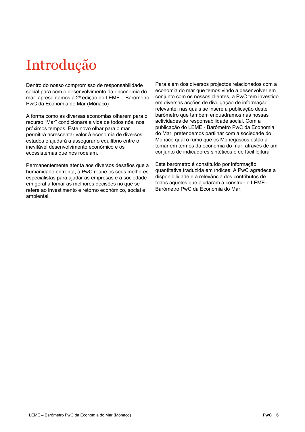### Introdução

Dentro do nosso compromisso de responsabilidade social para com o desenvolvimento da enconomia do mar, apresentamos a 2ª edição do LEME – Barómetro PwC da Economia do Mar (Mónaco)

A forma como as diversas economias olharem para o recurso "Mar" condicionará a vida de todos nós, nos próximos tempos. Este novo olhar para o mar permitirá acrescentar valor à economia de diversos estados e ajudará a assegurar o equilíbrio entre o inevitável desenvolvimento económico e os ecossistemas que nos rodeiam.

Permanentemente atenta aos diversos desafios que a humanidade enfrenta, a PwC reúne os seus melhores especialistas para ajudar as empresas e a sociedade em geral a tomar as melhores decisões no que se refere ao investimento e retorno económico, social e ambiental.

Para além dos diversos projectos relacionados com a economia do mar que temos vindo a desenvolver em conjunto com os nossos clientes, a PwC tem investido em diversas acções de divulgação de informação relevante, nas quais se insere a publicação deste barómetro que também enquadramos nas nossas actividades de responsabilidade social. Com a publicação do LEME - Barómetro PwC da Economia do Mar, pretendemos partilhar com a sociedade do Mónaco qual o rumo que os Monegascos estão a tomar em termos da economia do mar, através de um conjunto de indicadores sintéticos e de fácil leitura

Este barómetro é constituído por informação quantitativa traduzida em índices. A PwC agradece a disponibilidade e a relevância dos contributos de todos aqueles que ajudaram a construir o LEME - Barómetro PwC da Economia do Mar.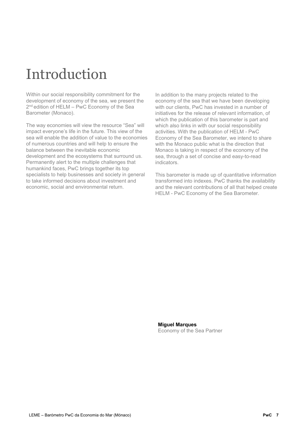### Introduction

Within our social responsibility commitment for the development of economy of the sea, we present the 2<sup>nd</sup> edition of HELM – PwC Economy of the Sea Barometer (Monaco).

The way economies will view the resource "Sea" will impact everyone's life in the future. This view of the sea will enable the addition of value to the economies of numerous countries and will help to ensure the balance between the inevitable economic development and the ecosystems that surround us. Permanently alert to the multiple challenges that humankind faces, PwC brings together its top specialists to help businesses and society in general to take informed decisions about investment and economic, social and environmental return.

In addition to the many projects related to the economy of the sea that we have been developing with our clients, PwC has invested in a number of initiatives for the release of relevant information, of which the publication of this barometer is part and which also links in with our social responsibility activities. With the publication of HELM - PwC Economy of the Sea Barometer, we intend to share with the Monaco public what is the direction that Monaco is taking in respect of the economy of the sea, through a set of concise and easy-to-read indicators.

This barometer is made up of quantitative information transformed into indexes. PwC thanks the availability and the relevant contributions of all that helped create HELM - PwC Economy of the Sea Barometer.

**Miguel Marques** Economy of the Sea Partner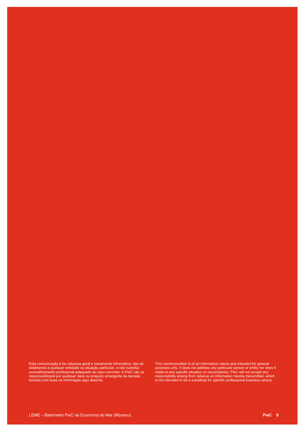This communication is of an informative nature and intended for general purposes only. It does not address any particular person or entity nor does it relate to any specific situation or circumstance. PwC will not accept any responsibility arising from reliance on information hereby transmitted, which is not intended to be a substitute for specific professional business advice.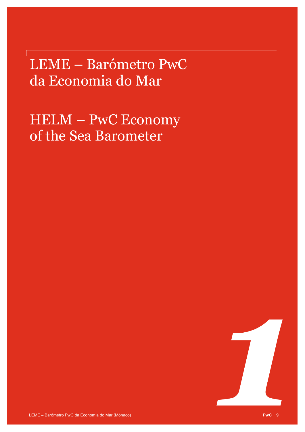LEME – Barómetro PwC da Economia do Mar

HELM – PwC Economy of the Sea Barometer

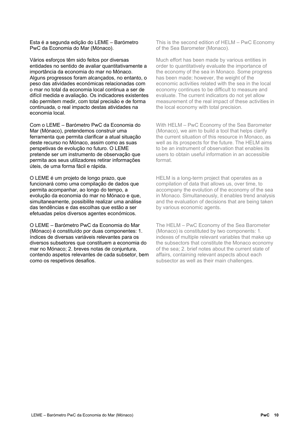Esta é a segunda edição do LEME – Barómetro PwC da Economia do Mar (Mónaco).

Vários esforços têm sido feitos por diversas entidades no sentido de avaliar quantitativamente a importância da economia do mar no Mónaco. Alguns progressos foram alcançados, no entanto, o peso das atividades económicas relacionadas com o mar no total da economia local continua a ser de difícil medida e avaliação. Os indicadores existentes não permitem medir, com total precisão e de forma continuada, o real impacto destas atividades na economia local.

Com o LEME – Barómetro PwC da Economia do Mar (Mónaco), pretendemos construir uma ferramenta que permita clarificar a atual situação deste recurso no Mónaco, assim como as suas perspetivas de evolução no futuro. O LEME pretende ser um instrumento de observação que permita aos seus utilizadores retirar informações úteis, de uma forma fácil e rápida.

O LEME é um projeto de longo prazo, que funcionará como uma compilação de dados que permita acompanhar, ao longo do tempo, a evolução da economia do mar no Mónaco e que, simultaneamente, possibilite realizar uma análise das tendências e das escolhas que estão a ser efetuadas pelos diversos agentes económicos.

O LEME – Barómetro PwC da Economia do Mar (Mónaco) é constituído por duas componentes: 1. índices de diversas variáveis relevantes para os diversos subsetores que constituem a economia do mar no Mónaco; 2. breves notas de conjuntura, contendo aspetos relevantes de cada subsetor, bem como os respetivos desafios.

This is the second edition of HELM – PwC Economy of the Sea Barometer (Monaco).

Much effort has been made by various entities in order to quantitatively evaluate the importance of the economy of the sea in Monaco. Some progress has been made; however, the weight of the economic activities related with the sea in the local economy continues to be difficult to measure and evaluate. The current indicators do not yet allow measurement of the real impact of these activities in the local economy with total precision.

With HELM – PwC Economy of the Sea Barometer (Monaco), we aim to build a tool that helps clarify the current situation of this resource in Monaco, as well as its prospects for the future. The HELM aims to be an instrument of observation that enables its users to obtain useful information in an accessible format.

HELM is a long-term project that operates as a compilation of data that allows us, over time, to accompany the evolution of the economy of the sea in Monaco. Simultaneously, it enables trend analysis and the evaluation of decisions that are being taken by various economic agents.

The HELM – PwC Economy of the Sea Barometer (Monaco) is constituted by two components: 1. indexes of multiple relevant variables that make up the subsectors that constitute the Monaco economy of the sea; 2. brief notes about the current state of affairs, containing relevant aspects about each subsector as well as their main challenges.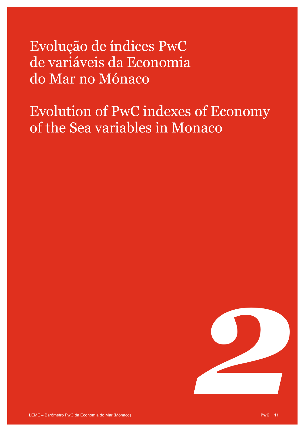Evolução de índices PwC de variáveis da Economia do Mar no Mónaco

Evolution of PwC indexes of Economy of the Sea variables in Monaco

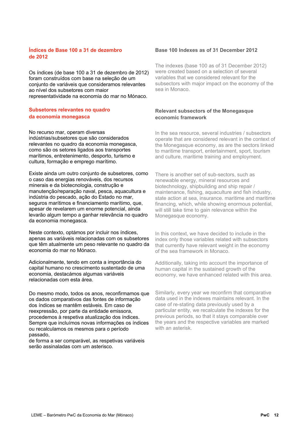#### **Índices de Base 100 a 31 de dezembro de 2012**

Os índices (de base 100 a 31 de dezembro de 2012) foram construídos com base na seleção de um conjunto de variáveis que consideramos relevantes ao nível dos subsetores com maior representatividade na economia do mar no Mónaco.

#### **Subsetores relevantes no quadro da economia monegasca**

No recurso mar, operam diversas indústrias/subsetores que são considerados relevantes no quadro da economia monegasca, como são os setores ligados aos transportes marítimos, entretenimento, desporto, turismo e cultura, formação e emprego marítimo.

Existe ainda um outro conjunto de subsetores, como o caso das energias renováveis, dos recursos minerais e da biotecnologia, construção e manutenção/reparação naval, pesca, aquacultura e indústria do pescado, ação do Estado no mar, seguros marítimos e financiamento marítimo, que, apesar de revelarem um enorme potencial, ainda levarão algum tempo a ganhar relevância no quadro da economia monegasca.

Neste contexto, optámos por incluir nos índices, apenas as variáveis relacionadas com os subsetores que têm atualmente um peso relevante no quadro da economia do mar no Mónaco.

Adicionalmente, tendo em conta a importância do capital humano no crescimento sustentado de uma economia, destacámos algumas variáveis relacionadas com esta área.

Do mesmo modo, todos os anos, reconfirmamos que os dados comparativos das fontes de informação dos índices se mantêm estáveis. Em caso de reexpressão, por parte da entidade emissora, procedemos à respetiva atualização dos índices. Sempre que incluímos novas informações os índices ou recalculamos os mesmos para o período passado,

de forma a ser comparável, as respetivas variáveis serão assinaladas com um asterisco.

#### **Base 100 Indexes as of 31 December 2012**

The indexes (base 100 as of 31 December 2012) were created based on a selection of several variables that we considered relevant for the subsectors with major impact on the economy of the sea in Monaco.

#### **Relevant subsectors of the Monegasque economic framework**

In the sea resource, several industries / subsectors operate that are considered relevant in the context of the Monegasque economy, as are the sectors linked to maritime transport, entertainment, sport, tourism and culture, maritime training and employment.

There is another set of sub-sectors, such as renewable energy, mineral resources and biotechnology, shipbuilding and ship repair / maintenance, fishing, aquaculture and fish industry, state action at sea, insurance. maritime and maritime financing, which, while showing enormous potential, will still take time to gain relevance within the Monegasque economy.

In this context, we have decided to include in the index only those variables related with subsectors that currently have relevant weight in the economy of the sea framework in Monaco.

Additionally, taking into account the importance of human capital in the sustained growth of the economy, we have enhanced related with this area.

Similarly, every year we reconfirm that comparative data used in the indexes maintains relevant. In the case of re-stating data previously used by a particular entity, we recalculate the indexes for the previous periods, so that it stays comparable over the years and the respective variables are marked with an asterisk.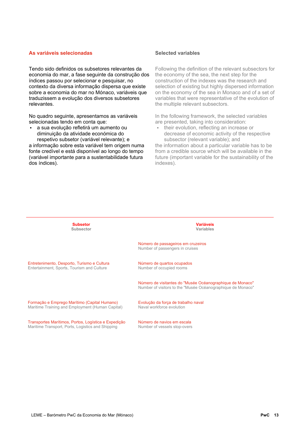#### **As variáveis selecionadas**

Tendo sido definidos os subsetores relevantes da economia do mar, a fase seguinte da construção dos índices passou por selecionar e pesquisar, no contexto da diversa informação dispersa que existe sobre a economia do mar no Mónaco, variáveis que traduzissem a evolução dos diversos subsetores relevantes.

No quadro seguinte, apresentamos as variáveis selecionadas tendo em conta que:

• a sua evolução refletirá um aumento ou diminuição da atividade económica do respetivo subsetor (variável relevante); e

a informação sobre esta variável tem origem numa fonte credível e está disponível ao longo do tempo (variável importante para a sustentabilidade futura dos índices).

#### **Selected variables**

Following the definition of the relevant subsectors for the economy of the sea, the next step for the construction of the indexes was the research and selection of existing but highly dispersed information on the economy of the sea in Monaco and of a set of variables that were representative of the evolution of the multiple relevant subsectors.

In the following framework, the selected variables are presented, taking into consideration:

• their evolution, reflecting an increase or decrease of economic activity of the respective subsector (relevant variable); and

the information about a particular variable has to be from a credible source which will be available in the future (important variable for the sustainability of the indexes).

| <b>Subsetor</b>                                      | <b>Variáveis</b>                                                                                                         |
|------------------------------------------------------|--------------------------------------------------------------------------------------------------------------------------|
| Subsector                                            | <b>Variables</b>                                                                                                         |
|                                                      | Número de passageiros em cruzeiros<br>Number of passengers in cruises                                                    |
| Entretenimento, Desporto, Turismo e Cultura          | Número de quartos ocupados                                                                                               |
| Entertainment, Sports, Tourism and Culture           | Number of occupied rooms                                                                                                 |
|                                                      | Número de visitantes do "Musée Océanographique de Monaco"<br>Number of visitors to the "Musée Océanographique de Monaco" |
| Formação e Emprego Marítimo (Capital Humano)         | Evolução da força de trabalho naval                                                                                      |
| Maritime Training and Employment (Human Capital)     | Naval workforce evolution                                                                                                |
| Transportes Marítimos, Portos, Logística e Expedição | Número de navios em escala                                                                                               |
| Maritime Transport, Ports, Logistics and Shipping    | Number of vessels stop-overs                                                                                             |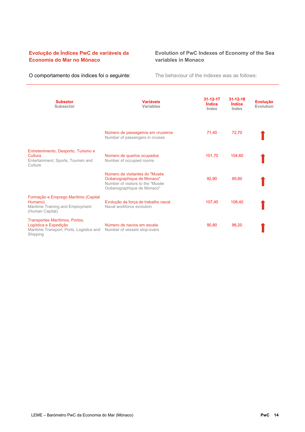#### **Evolução de Índices PwC de variáveis da Economia do Mar no Mónaco**

#### **Evolution of PwC Indexes of Economy of the Sea variables in Monaco**

O comportamento dos índices foi o seguinte:<br>
The behaviour of the indexes was as follows:

| <b>Subsetor</b><br><b>Subsector</b>                                                                             | <b>Variáveis</b><br><b>Variables</b>                                                                                           | $31 - 12 - 17$<br><i><u><b>Indice</b></u></i><br>Index | $31 - 12 - 18$<br><b>Indice</b><br>Index | <b>Evolução</b><br>Evolution |
|-----------------------------------------------------------------------------------------------------------------|--------------------------------------------------------------------------------------------------------------------------------|--------------------------------------------------------|------------------------------------------|------------------------------|
|                                                                                                                 | Número de passageiros em cruzeiros<br>Number of passengers in cruises                                                          | 71,40                                                  | 72,70                                    |                              |
| Entretenimento, Desporto, Turismo e<br>Cultura<br>Entertainment, Sports, Tourism and<br>Culture                 | Número de quartos ocupados<br>Number of occupied rooms                                                                         | 101,70                                                 | 104.60                                   |                              |
|                                                                                                                 | Número de visitantes do "Musée<br>Océanographique de Monaco"<br>Number of visitors to the "Musée<br>Océanographique de Monaco" | 92,90                                                  | 95,60                                    |                              |
| Formação e Emprego Marítimo (Capital<br>Humano)<br>Maritime Training and Employment<br>(Human Capital)          | Evolução da força de trabalho naval<br>Naval workforce evolution                                                               | 107,40                                                 | 108.40                                   |                              |
| Transportes Marítimos, Portos,<br>Logística e Expedição<br>Maritime Transport, Ports, Logistics and<br>Shipping | Número de navios em escala<br>Number of vessels stop-overs                                                                     | 90,80                                                  | 96,20                                    |                              |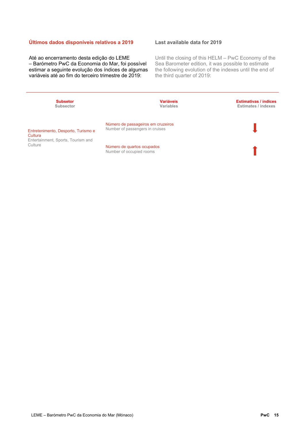#### **Últimos dados disponíveis relativos a 2019**

Até ao encerramento desta edição do LEME – Barómetro PwC da Economia do Mar, foi possível estimar a seguinte evolução dos índices de algumas variáveis até ao fim do terceiro trimestre de 2019:

#### **Last available data for 2019**

Until the closing of this HELM – PwC Economy of the Sea Barometer edition, it was possible to estimate the following evolution of the indexes until the end of the third quarter of 2019:

| <b>Subsetor</b><br>Subsector                   | <b>Variáveis</b><br>Variables                                         | <b>Estimativas / índices</b><br>Estimates / indexes |
|------------------------------------------------|-----------------------------------------------------------------------|-----------------------------------------------------|
| Entretenimento, Desporto, Turismo e<br>Cultura | Número de passageiros em cruzeiros<br>Number of passengers in cruises |                                                     |
| Entertainment, Sports, Tourism and<br>Culture  | Número de quartos ocupados<br>Number of occupied rooms                |                                                     |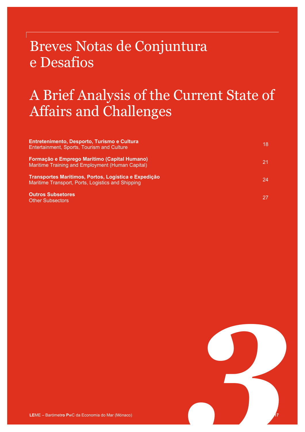### Breves Notas de Conjuntura e Desafios

### A Brief Analysis of the Current State of Affairs and Challenges

| Entretenimento, Desporto, Turismo e Cultura<br>Entertainment, Sports, Tourism and Culture                 | 18  |
|-----------------------------------------------------------------------------------------------------------|-----|
| Formação e Emprego Marítimo (Capital Humano)<br>Maritime Training and Employment (Human Capital)          | 21. |
| Transportes Marítimos, Portos, Logística e Expedição<br>Maritime Transport, Ports, Logistics and Shipping | 24  |
| <b>Outros Subsetores</b><br><b>Other Subsectors</b>                                                       | 27  |

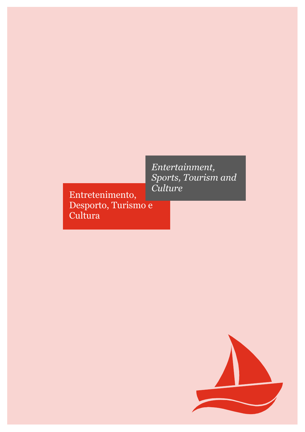Entretenimento, Desporto, Turismo e **Cultura** 

*Entertainment, Sports, Tourism and Culture*

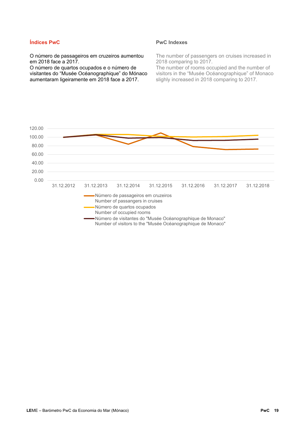#### **Índices PwC**

#### **PwC Indexes**

O número de passageiros em cruzeiros aumentou em 2018 face a 2017.

O número de quartos ocupados e o número de visitantes do "Musée Océanographique" do Mónaco aumentaram ligeiramente em 2018 face a 2017.

The number of passengers on cruises increased in 2018 comparing to 2017.

The number of rooms occupied and the number of visitors in the "Musée Océanographique" of Monaco slighly increased in 2018 comparing to 2017.

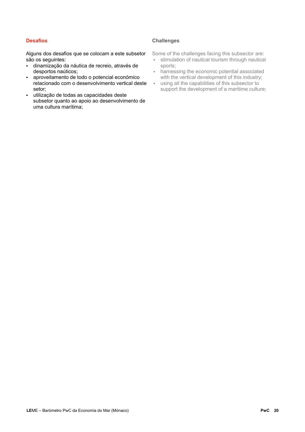#### **Desafios**

#### **Challenges**

Alguns dos desafios que se colocam a este subsetor são os seguintes:

- dinamização da náutica de recreio, através de desportos naúticos;
- aproveitamento de todo o potencial económico relacionado com o desenvolvimento vertical deste setor;
- utilização de todas as capacidades deste subsetor quanto ao apoio ao desenvolvimento de uma cultura marítima;

Some of the challenges facing this subsector are:

- stimulation of nautical tourism through nautical sports;
- harnessing the economic potential associated with the vertical development of this industry;
- using all the capabilities of this subsector to support the development of a maritime culture;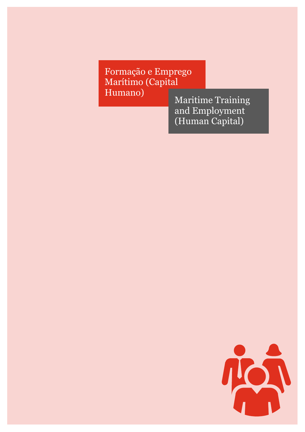Formação e Emprego Marítimo (Capital<br>Humano)

Maritime Training and Employment (Human Capital)

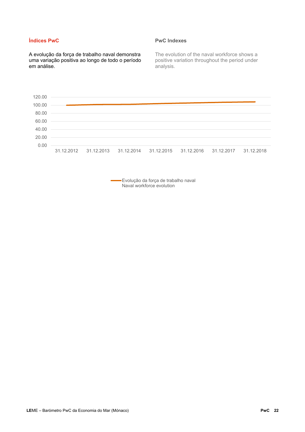#### **Índices PwC**

A evolução da força de trabalho naval demonstra uma variação positiva ao longo de todo o período em análise.

#### **PwC Indexes**

The evolution of the naval workforce shows a positive variation throughout the period under analysis.



Evolução da força de trabalho naval Naval workforce evolution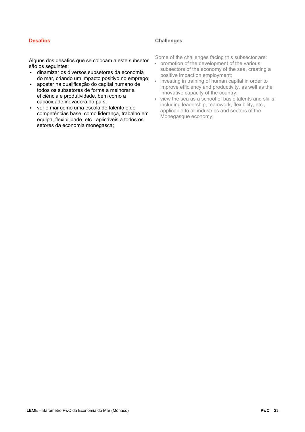#### **Desafios**

#### **Challenges**

Alguns dos desafios que se colocam a este subsetor são os seguintes:

- dinamizar os diversos subsetores da economia do mar, criando um impacto positivo no emprego;
- apostar na qualificação do capital humano de todos os subsetores de forma a melhorar a eficiência e produtividade, bem como a capacidade inovadora do país;
- ver o mar como uma escola de talento e de competências base, como liderança, trabalho em equipa, flexibilidade, etc., aplicáveis a todos os setores da economia monegasca;

Some of the challenges facing this subsector are:

- promotion of the development of the various subsectors of the economy of the sea, creating a positive impact on employment;
- investing in training of human capital in order to improve efficiency and productivity, as well as the innovative capacity of the country;
- view the sea as a school of basic talents and skills, including leadership, teamwork, flexibility, etc., applicable to all industries and sectors of the Monegasque economy;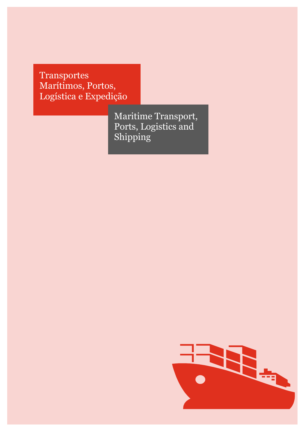Transportes Marítimos, Portos, Logística e Expedição

> Maritime Transport, Ports, Logistics and Shipping

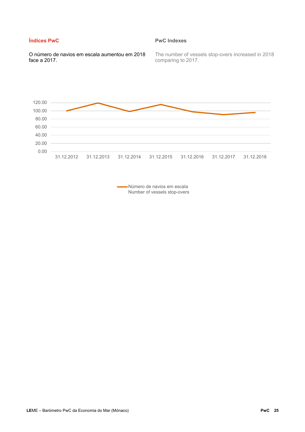#### **Índices PwC**

#### **PwC Indexes**

O número de navios em escala aumentou em 2018 face a 2017.

The number of vessels stop-overs increased in 2018 comparing to 2017.



Número de navios em escala Number of vessels stop-overs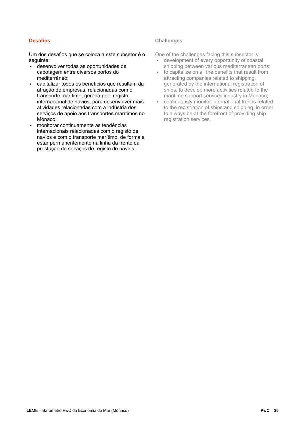#### **Desafios**

#### **Challenges**

Um dos desafios que se coloca a este subsetor é o sequinte:

- desenvolver todas as oportunidades de cabotagem entre diversos portos do mediterrâneo;
- capitalizar todos os benefícios que resultam da atração de empresas, relacionadas com o transporte marítimo, gerada pelo registo internacional de navios, para desenvolver mais atividades relacionadas com a indústria dos serviços de apoio aos transportes marítimos no Mónaco;
- monitorar continuamente as tendências internacionais relacionadas com o registo de navios e com o transporte marítimo, de forma a estar permanentemente na linha da frente da prestação de serviços de registo de navios.

One of the challenges facing this subsector is:

- development of every opportunity of coastal shipping between various mediterranean ports;
- to capitalize on all the benefits that result from attracting companies related to shipping, generated by the international registration of ships, to develop more activities related to the maritime support services industry in Monaco;
- continuously monitor international trends related to the registration of ships and shipping, in order to always be at the forefront of providing ship registration services.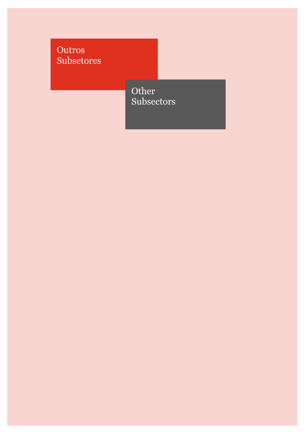Outros Subsetores

> Other Subsectors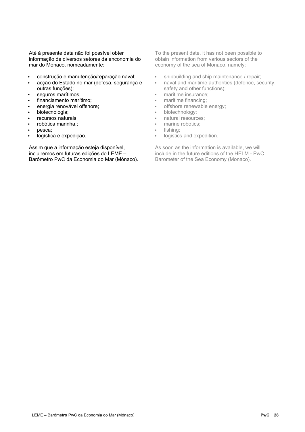Até à presente data não foi possível obter informação de diversos setores da enconomia do mar do Mónaco, nomeadamente:

- construção e manutenção/reparação naval;
- acção do Estado no mar (defesa, segurança e outras funções);
- seguros marítimos;
- financiamento marítimo;
- energia renovável offshore;
- biotecnologia;
- recursos naturais;
- robótica marinha.;
- pesca;
- logística e expedição.

Assim que a informação esteja disponível, incluiremos em futuras edições do LEME – Barómetro PwC da Economia do Mar (Mónaco). To the present date, it has not been possible to obtain information from various sectors of the economy of the sea of Monaco, namely:

- shipbuilding and ship maintenance / repair;
- naval and maritime authorities (defence, security, safety and other functions);
- maritime insurance;
- maritime financing;
- offshore renewable energy;
- biotechnology;
- natural resources;
- marine robotics:
- fishing;
- logistics and expedition.

As soon as the information is available, we will include in the future editions of the HELM - PwC Barometer of the Sea Economy (Monaco).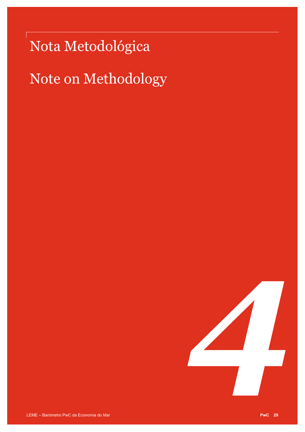## Nota Metodológica

## Note on Methodology

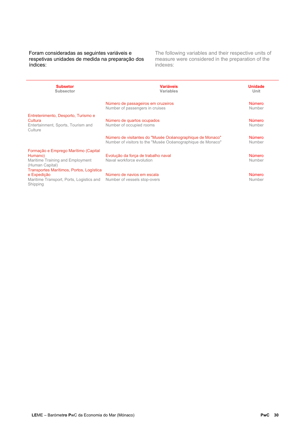Foram consideradas as seguintes variáveis e respetivas unidades de medida na preparação dos índices:

The following variables and their respective units of measure were considered in the preparation of the indexes:

| <b>Subsetor</b><br><b>Subsector</b>                                                                             | <b>Variáveis</b><br><b>Variables</b>                                                                                     | <b>Unidade</b><br>Unit  |
|-----------------------------------------------------------------------------------------------------------------|--------------------------------------------------------------------------------------------------------------------------|-------------------------|
|                                                                                                                 | Número de passageiros em cruzeiros<br>Number of passengers in cruises                                                    | <b>Número</b><br>Number |
| Entretenimento, Desporto, Turismo e<br>Cultura<br>Entertainment, Sports, Tourism and<br>Culture                 | Número de quartos ocupados<br>Number of occupied rooms                                                                   | <b>Número</b><br>Number |
|                                                                                                                 | Número de visitantes do "Musée Océanographique de Monaco"<br>Number of visitors to the "Musée Océanographique de Monaco" | <b>Número</b><br>Number |
| Formação e Emprego Marítimo (Capital<br>Humano)<br>Maritime Training and Employment<br>(Human Capital)          | Evolução da força de trabalho naval<br>Naval workforce evolution                                                         | <b>Número</b><br>Number |
| Transportes Marítimos, Portos, Logística<br>e Expedição<br>Maritime Transport, Ports, Logistics and<br>Shipping | Número de navios em escala<br>Number of vessels stop-overs                                                               | <b>Número</b><br>Number |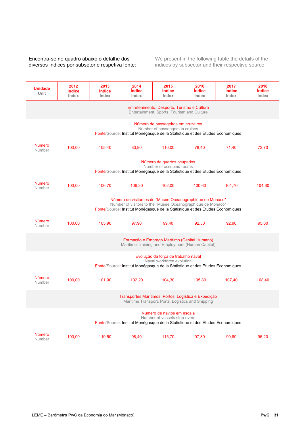#### Encontra-se no quadro abaixo o detalhe dos diversos índices por subsetor e respetiva fonte:

We present in the following table the details of the indices by subsector and their respective source:

| <b>Unidade</b><br>Unit                                                                                                                                                                                    | 2012<br><i><u><b>Indice</b></u></i><br>Index                                                                                                           | 2013<br><i><u><b>Indice</b></u></i><br>Index | 2014<br><b>Indice</b><br>Index | 2015<br><i><u><b>Indice</b></u></i><br>Index | 2016<br><i><u><b>Indice</b></u></i><br>Index | 2017<br>İndice<br>Index | 2018<br>Índice<br>Index |
|-----------------------------------------------------------------------------------------------------------------------------------------------------------------------------------------------------------|--------------------------------------------------------------------------------------------------------------------------------------------------------|----------------------------------------------|--------------------------------|----------------------------------------------|----------------------------------------------|-------------------------|-------------------------|
| Entretenimento, Desporto, Turismo e Cultura<br>Entertainment, Sports, Tourism and Culture                                                                                                                 |                                                                                                                                                        |                                              |                                |                                              |                                              |                         |                         |
|                                                                                                                                                                                                           | Número de passageiros em cruzeiros<br>Number of passengers in cruises<br>Fonte/Source: Institut Monégasque de la Statistique et des Études Économiques |                                              |                                |                                              |                                              |                         |                         |
| <b>Número</b><br>Number                                                                                                                                                                                   | 100,00                                                                                                                                                 | 105,40                                       | 83,90                          | 110,00                                       | 78,40                                        | 71,40                   | 72,70                   |
| Número de quartos ocupados<br>Number of occupied rooms<br>Fonte/Source: Institut Monégasque de la Statistique et des Études Économiques                                                                   |                                                                                                                                                        |                                              |                                |                                              |                                              |                         |                         |
| <b>Número</b><br>Number                                                                                                                                                                                   | 100,00                                                                                                                                                 | 106,70                                       | 106,30                         | 102,00                                       | 100,60                                       | 101,70                  | 104,60                  |
| Número de visitantes do "Musée Océanographique de Monaco"<br>Number of visitors to the "Musée Océanographique de Monaco"<br>Fonte/Source: Institut Monégasque de la Statistique et des Études Économiques |                                                                                                                                                        |                                              |                                |                                              |                                              |                         |                         |
| <b>Número</b><br>Number                                                                                                                                                                                   | 100,00                                                                                                                                                 | 105,90                                       | 97,90                          | 99,40                                        | 92,50                                        | 92,90                   | 95,60                   |
| Formação e Emprego Marítimo (Capital Humano)<br>Maritime Training and Employment (Human Capital)                                                                                                          |                                                                                                                                                        |                                              |                                |                                              |                                              |                         |                         |
| Evolução da força de trabalho naval<br>Naval workforce evolution<br>Fonte/Source: Institut Monégasque de la Statistique et des Études Économiques                                                         |                                                                                                                                                        |                                              |                                |                                              |                                              |                         |                         |
| <b>Número</b><br>Number                                                                                                                                                                                   | 100,00                                                                                                                                                 | 101.90                                       | 102,20                         | 104,30                                       | 105.80                                       | 107,40                  | 108,40                  |
| Transportes Marítimos, Portos, Logística e Expedição<br>Maritime Transport, Ports, Logistics and Shipping                                                                                                 |                                                                                                                                                        |                                              |                                |                                              |                                              |                         |                         |
| Número de navios em escala<br>Number of vessels stop-overs<br>Fonte/Source: Institut Monégasque de la Statistique et des Études Économiques                                                               |                                                                                                                                                        |                                              |                                |                                              |                                              |                         |                         |
| <b>Número</b><br>Number                                                                                                                                                                                   | 100,00                                                                                                                                                 | 119,50                                       | 98,40                          | 115,70                                       | 97,80                                        | 90,80                   | 96,20                   |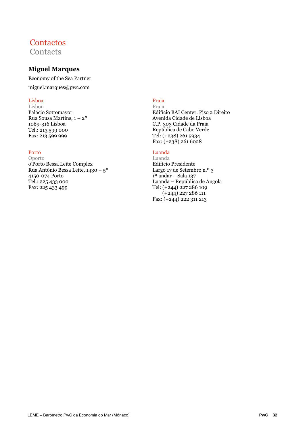### **Contactos Contacts**

### **Miguel Marques**

Economy of the Sea Partner

miguel.marques@pwc.com

#### Lisboa

Lisbon Palácio Sottomayor Rua Sousa Martins, 1 – 2º 1069-316 Lisboa Tel.: 213 599 000 Fax: 213 599 999

#### Porto

Oporto o'Porto Bessa Leite Complex Rua António Bessa Leite, 1430 – 5º 4150-074 Porto Tel.: 225 433 000 Fax: 225 433 499

#### Praia

Praia Edifício BAI Center, Piso 2 Direito Avenida Cidade de Lisboa C.P. 303 Cidade da Praia República de Cabo Verde Tel: (+238) 261 5934 Fax: (+238) 261 6028

#### Luanda

Luanda Edifício Presidente Largo 17 de Setembro n.º 3  $1<sup>o</sup>$  andar – Sala 137 Luanda – República de Angola Tel: (+244) 227 286 109 (+244) 227 286 111 Fax: (+244) 222 311 213